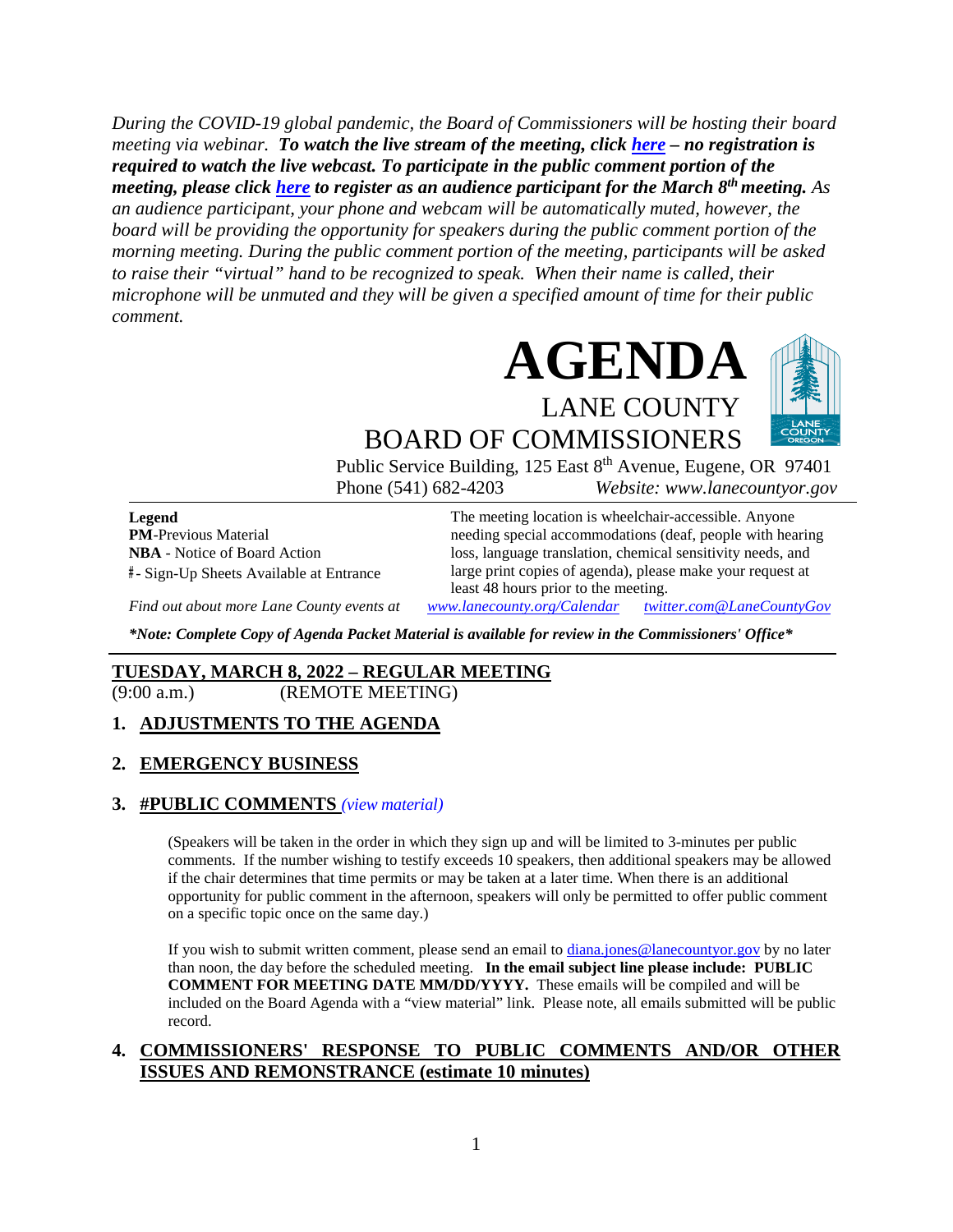*During the COVID-19 global pandemic, the Board of Commissioners will be hosting their board meeting via webinar. To watch the live stream of the meeting, click [here](https://lanecounty.org/cms/One.aspx?portalId=3585881&pageId=7842434) – no registration is required to watch the live webcast. To participate in the public comment portion of the meeting, please click [here](https://us06web.zoom.us/webinar/register/WN_S-o2L-U1RlmapZn34afAdA) to register as an audience participant for the March 8th meeting. As an audience participant, your phone and webcam will be automatically muted, however, the board will be providing the opportunity for speakers during the public comment portion of the morning meeting. During the public comment portion of the meeting, participants will be asked to raise their "virtual" hand to be recognized to speak. When their name is called, their microphone will be unmuted and they will be given a specified amount of time for their public comment.* 



BOARD OF COMMISSIONERS Public Service Building, 125 East 8<sup>th</sup> Avenue, Eugene, OR 97401 Phone (541) 682-4203 *Website: www.lanecountyor.gov*

**Legend PM**-Previous Material **NBA** - Notice of Board Action **#** - Sign-Up Sheets Available at Entrance

The meeting location is wheelchair-accessible. Anyone needing special accommodations (deaf, people with hearing loss, language translation, chemical sensitivity needs, and large print copies of agenda), please make your request at least 48 hours prior to the meeting.

*Find out about more Lane County events at [www.lanecounty.org/Calendar](http://www.lanecounty.org/Calendar) [twitter.com@LaneCountyGov](https://twitter.com/lanecountygov?lang=en)*

*\*Note: Complete Copy of Agenda Packet Material is available for review in the Commissioners' Office\**

#### **TUESDAY, MARCH 8, 2022 – REGULAR MEETING**

(9:00 a.m.) (REMOTE MEETING)

#### **1. ADJUSTMENTS TO THE AGENDA**

#### **2. EMERGENCY BUSINESS**

#### **3. #PUBLIC COMMENTS** *(view [material\)](http://www.lanecountyor.gov/UserFiles/Servers/Server_3585797/File/Government/BCC/2022/2022_AGENDAS/030822agenda/T.3.pdf)*

(Speakers will be taken in the order in which they sign up and will be limited to 3-minutes per public comments. If the number wishing to testify exceeds 10 speakers, then additional speakers may be allowed if the chair determines that time permits or may be taken at a later time. When there is an additional opportunity for public comment in the afternoon, speakers will only be permitted to offer public comment on a specific topic once on the same day.)

If you wish to submit written comment, please send an email to [diana.jones@lanecountyor.gov](mailto:diana.jones@lanecountyor.gov) by no later than noon, the day before the scheduled meeting. **In the email subject line please include: PUBLIC COMMENT FOR MEETING DATE MM/DD/YYYY.** These emails will be compiled and will be included on the Board Agenda with a "view material" link. Please note, all emails submitted will be public record.

#### **4. COMMISSIONERS' RESPONSE TO PUBLIC COMMENTS AND/OR OTHER ISSUES AND REMONSTRANCE (estimate 10 minutes)**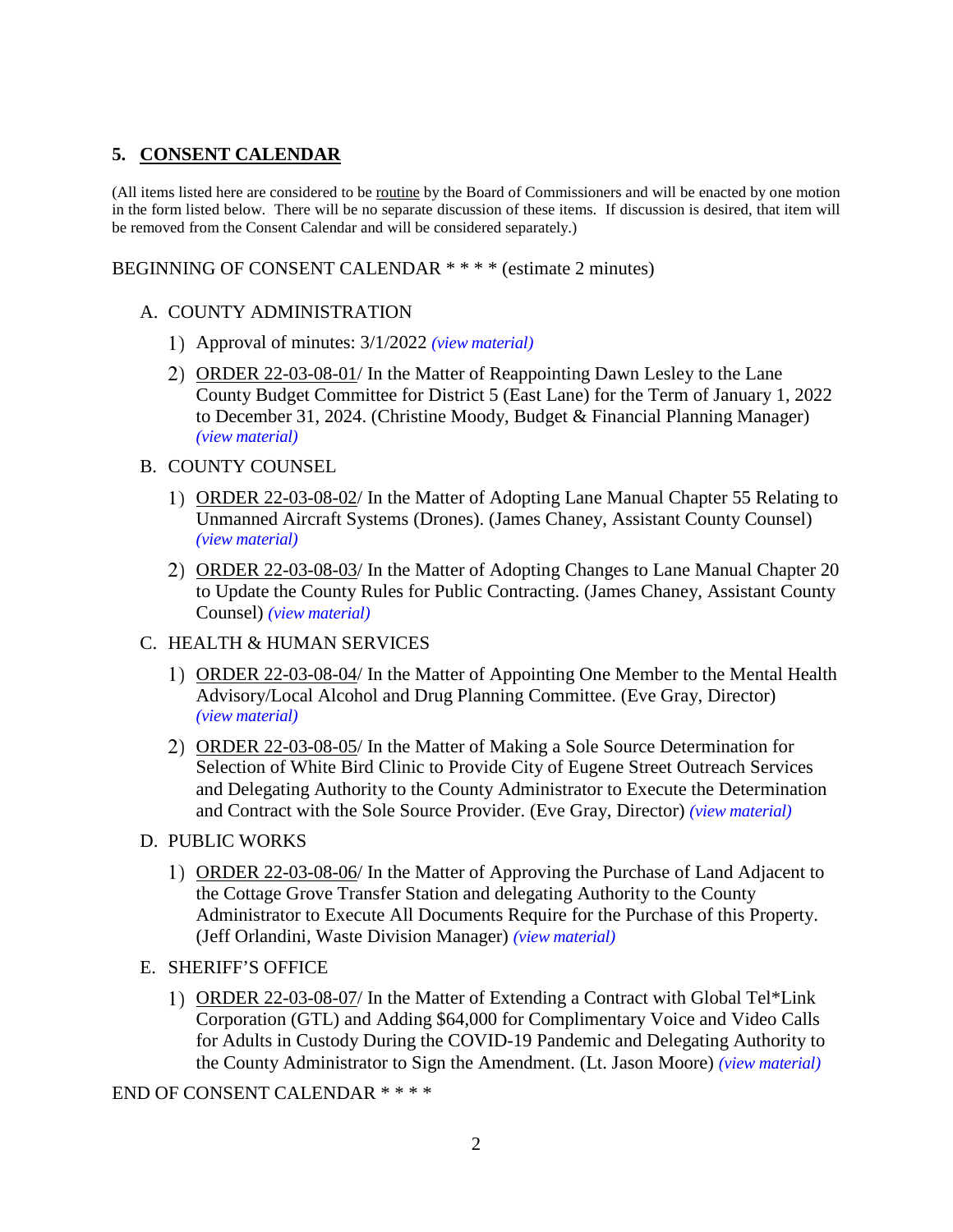# **5. CONSENT CALENDAR**

(All items listed here are considered to be routine by the Board of Commissioners and will be enacted by one motion in the form listed below. There will be no separate discussion of these items. If discussion is desired, that item will be removed from the Consent Calendar and will be considered separately.)

BEGINNING OF CONSENT CALENDAR \* \* \* \* (estimate 2 minutes)

### A. COUNTY ADMINISTRATION

- Approval of minutes: 3/1/2022 *(view [material\)](http://www.lanecountyor.gov/UserFiles/Servers/Server_3585797/File/Government/BCC/2022/2022_AGENDAS/030822agenda/T.5.A.1.pdf)*
- ORDER 22-03-08-01/ In the Matter of Reappointing Dawn Lesley to the Lane County Budget Committee for District 5 (East Lane) for the Term of January 1, 2022 to December 31, 2024. (Christine Moody, Budget & Financial Planning Manager) *(view [material\)](http://www.lanecountyor.gov/UserFiles/Servers/Server_3585797/File/Government/BCC/2022/2022_AGENDAS/030822agenda/T.5.A.2.pdf)*

#### B. COUNTY COUNSEL

- ORDER 22-03-08-02/ In the Matter of Adopting Lane Manual Chapter 55 Relating to Unmanned Aircraft Systems (Drones). (James Chaney, Assistant County Counsel) *(view [material\)](http://www.lanecountyor.gov/UserFiles/Servers/Server_3585797/File/Government/BCC/2022/2022_AGENDAS/030822agenda/T.5.B.1.pdf)*
- 2) ORDER 22-03-08-03/ In the Matter of Adopting Changes to Lane Manual Chapter 20 to Update the County Rules for Public Contracting. (James Chaney, Assistant County Counsel) *(view [material\)](http://www.lanecountyor.gov/UserFiles/Servers/Server_3585797/File/Government/BCC/2022/2022_AGENDAS/030822agenda/T.5.B.2.pdf)*

#### C. HEALTH & HUMAN SERVICES

- ORDER 22-03-08-04/ In the Matter of Appointing One Member to the Mental Health Advisory/Local Alcohol and Drug Planning Committee. (Eve Gray, Director) *(view [material\)](http://www.lanecountyor.gov/UserFiles/Servers/Server_3585797/File/Government/BCC/2022/2022_AGENDAS/030822agenda/T.5.C.1.pdf)*
- ORDER 22-03-08-05/ In the Matter of Making a Sole Source Determination for Selection of White Bird Clinic to Provide City of Eugene Street Outreach Services and Delegating Authority to the County Administrator to Execute the Determination and Contract with the Sole Source Provider. (Eve Gray, Director) *(view [material\)](http://www.lanecountyor.gov/UserFiles/Servers/Server_3585797/File/Government/BCC/2022/2022_AGENDAS/030822agenda/T.5.C.2.pdf)*
- D. PUBLIC WORKS
	- ORDER 22-03-08-06/ In the Matter of Approving the Purchase of Land Adjacent to the Cottage Grove Transfer Station and delegating Authority to the County Administrator to Execute All Documents Require for the Purchase of this Property. (Jeff Orlandini, Waste Division Manager) *(view [material\)](http://www.lanecountyor.gov/UserFiles/Servers/Server_3585797/File/Government/BCC/2022/2022_AGENDAS/030822agenda/T.5.D.1.pdf)*
- E. SHERIFF'S OFFICE
	- 1) ORDER 22-03-08-07/ In the Matter of Extending a Contract with Global Tel\*Link Corporation (GTL) and Adding \$64,000 for Complimentary Voice and Video Calls for Adults in Custody During the COVID-19 Pandemic and Delegating Authority to the County Administrator to Sign the Amendment. (Lt. Jason Moore) *(view [material\)](http://www.lanecountyor.gov/UserFiles/Servers/Server_3585797/File/Government/BCC/2022/2022_AGENDAS/030822agenda/T.5.E.1.pdf)*

END OF CONSENT CALENDAR \* \* \* \*